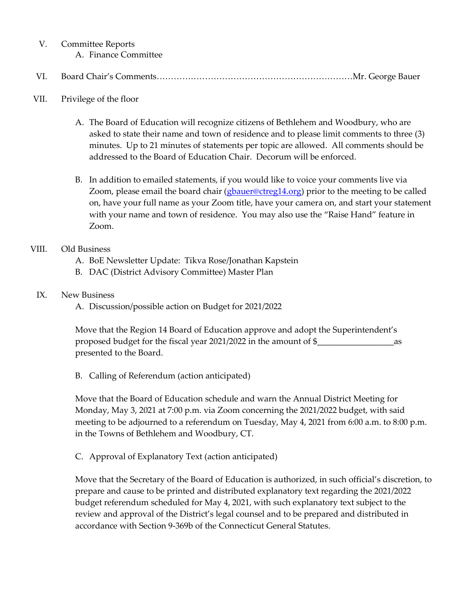## V. Committee Reports

A. Finance Committee

# VI. Board Chair's Comments……………………………………………………………Mr. George Bauer

## VII. Privilege of the floor

- A. The Board of Education will recognize citizens of Bethlehem and Woodbury, who are asked to state their name and town of residence and to please limit comments to three (3) minutes. Up to 21 minutes of statements per topic are allowed. All comments should be addressed to the Board of Education Chair. Decorum will be enforced.
- B. In addition to emailed statements, if you would like to voice your comments live via Zoom, please email the board chair [\(gbauer@ctreg14.org\)](mailto:gbauer@ctreg14.org) prior to the meeting to be called on, have your full name as your Zoom title, have your camera on, and start your statement with your name and town of residence. You may also use the "Raise Hand" feature in Zoom.

## VIII. Old Business

- A. BoE Newsletter Update: Tikva Rose/Jonathan Kapstein
- B. DAC (District Advisory Committee) Master Plan

## IX. New Business

A. Discussion/possible action on Budget for 2021/2022

Move that the Region 14 Board of Education approve and adopt the Superintendent's proposed budget for the fiscal year 2021/2022 in the amount of \$\_\_\_\_\_\_\_\_\_\_\_\_\_\_\_\_\_\_as presented to the Board.

B. Calling of Referendum (action anticipated)

Move that the Board of Education schedule and warn the Annual District Meeting for Monday, May 3, 2021 at 7:00 p.m. via Zoom concerning the 2021/2022 budget, with said meeting to be adjourned to a referendum on Tuesday, May 4, 2021 from 6:00 a.m. to 8:00 p.m. in the Towns of Bethlehem and Woodbury, CT.

C. Approval of Explanatory Text (action anticipated)

Move that the Secretary of the Board of Education is authorized, in such official's discretion, to prepare and cause to be printed and distributed explanatory text regarding the 2021/2022 budget referendum scheduled for May 4, 2021, with such explanatory text subject to the review and approval of the District's legal counsel and to be prepared and distributed in accordance with Section 9-369b of the Connecticut General Statutes.